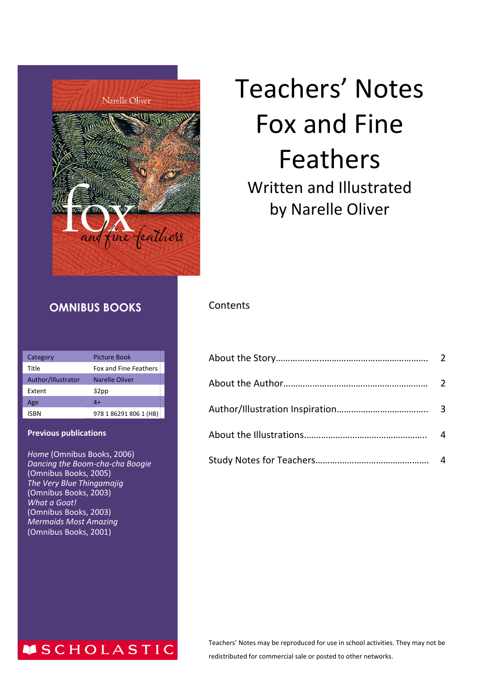

# Teachers' Notes Fox and Fine Feathers Written and Illustrated by Narelle Oliver

#### **OMNIBUS BOOKS**

| Category           | Picture Book           |
|--------------------|------------------------|
| Title              | Fox and Fine Feathers  |
| Author/Illustrator | Narelle Oliver         |
| Extent             | 32pp                   |
| Age                | 4+                     |
| ISBN               | 978 1 86291 806 1 (HB) |

#### **Previous publications**

*Home* (Omnibus Books, 2006) *Dancing the Boom-cha-cha Boogie* (Omnibus Books, 2005) *The Very Blue Thingamajig* (Omnibus Books, 2003) *What a Goat!* (Omnibus Books, 2003) *Mermaids Most Amazing* (Omnibus Books, 2001)

**MSCHOLASTIC** 

#### **Contents**

| $\boldsymbol{\Lambda}$ |
|------------------------|
|                        |

Teachers' Notes may be reproduced for use in school activities. They may not be redistributed for commercial sale or posted to other networks.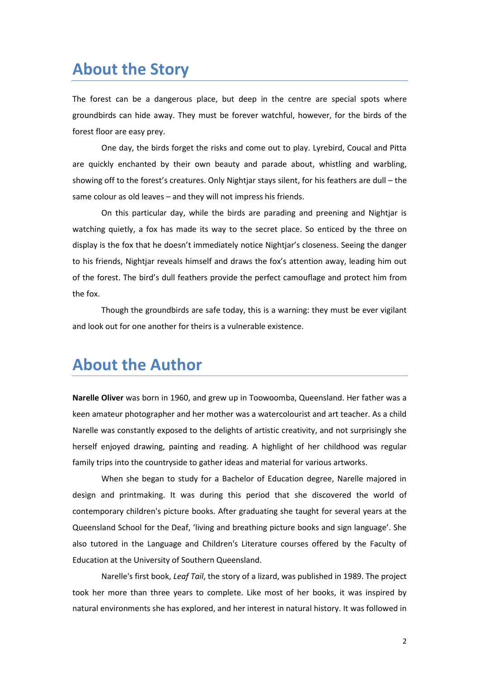## **About the Story**

The forest can be a dangerous place, but deep in the centre are special spots where groundbirds can hide away. They must be forever watchful, however, for the birds of the forest floor are easy prey.

One day, the birds forget the risks and come out to play. Lyrebird, Coucal and Pitta are quickly enchanted by their own beauty and parade about, whistling and warbling, showing off to the forest's creatures. Only Nightjar stays silent, for his feathers are dull – the same colour as old leaves – and they will not impress his friends.

On this particular day, while the birds are parading and preening and Nightjar is watching quietly, a fox has made its way to the secret place. So enticed by the three on display is the fox that he doesn't immediately notice Nightjar's closeness. Seeing the danger to his friends, Nightjar reveals himself and draws the fox's attention away, leading him out of the forest. The bird's dull feathers provide the perfect camouflage and protect him from the fox.

Though the groundbirds are safe today, this is a warning: they must be ever vigilant and look out for one another for theirs is a vulnerable existence.

#### **About the Author**

**Narelle Oliver** was born in 1960, and grew up in Toowoomba, Queensland. Her father was a keen amateur photographer and her mother was a watercolourist and art teacher. As a child Narelle was constantly exposed to the delights of artistic creativity, and not surprisingly she herself enjoyed drawing, painting and reading. A highlight of her childhood was regular family trips into the countryside to gather ideas and material for various artworks.

When she began to study for a Bachelor of Education degree, Narelle majored in design and printmaking. It was during this period that she discovered the world of contemporary children's picture books. After graduating she taught for several years at the Queensland School for the Deaf, 'living and breathing picture books and sign language'. She also tutored in the Language and Children's Literature courses offered by the Faculty of Education at the University of Southern Queensland.

Narelle's first book, *Leaf Tail*, the story of a lizard, was published in 1989. The project took her more than three years to complete. Like most of her books, it was inspired by natural environments she has explored, and her interest in natural history. It was followed in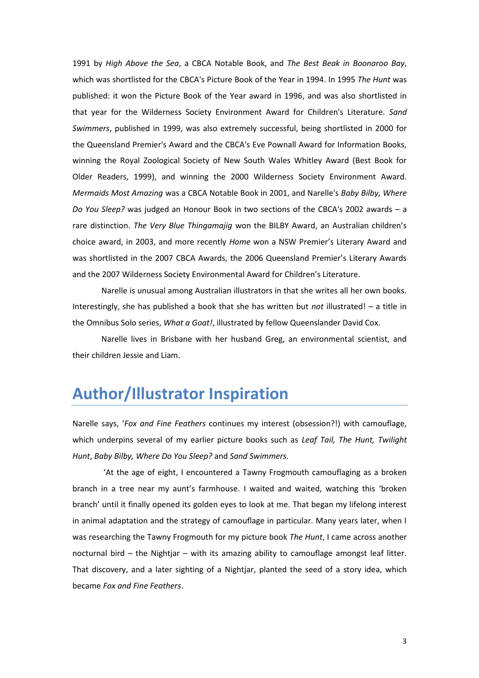1991 by *High Above the Sea*, a CBCA Notable Book, and *The Best Beak in Boonaroo Bay*, which was shortlisted for the CBCA's Picture Book of the Year in 1994. In 1995 *The Hunt* was published: it won the Picture Book of the Year award in 1996, and was also shortlisted in that year for the Wilderness Society Environment Award for Children's Literature. *Sand Swimmers*, published in 1999, was also extremely successful, being shortlisted in 2000 for the Queensland Premier's Award and the CBCA's Eve Pownall Award for Information Books, winning the Royal Zoological Society of New South Wales Whitley Award (Best Book for Older Readers, 1999), and winning the 2000 Wilderness Society Environment Award. *Mermaids Most Amazing* was a CBCA Notable Book in 2001, and Narelle's *Baby Bilby, Where Do You Sleep?* was judged an Honour Book in two sections of the CBCA's 2002 awards – a rare distinction. *The Very Blue Thingamajig* won the BILBY Award, an Australian children's choice award, in 2003, and more recently *Home* won a NSW Premier's Literary Award and was shortlisted in the 2007 CBCA Awards, the 2006 Queensland Premier's Literary Awards and the 2007 Wilderness Society Environmental Award for Children's Literature.

Narelle is unusual among Australian illustrators in that she writes all her own books. Interestingly, she has published a book that she has written but *not* illustrated! – a title in the Omnibus Solo series, *What a Goat!*, illustrated by fellow Queenslander David Cox.

Narelle lives in Brisbane with her husband Greg, an environmental scientist, and their children Jessie and Liam.

#### **Author/Illustrator Inspiration**

Narelle says, '*Fox and Fine Feathers* continues my interest (obsession?!) with camouflage, which underpins several of my earlier picture books such as *Leaf Tail, The Hunt, Twilight Hunt*, *Baby Bilby, Where Do You Sleep?* and *Sand Swimmers.*

'At the age of eight, I encountered a Tawny Frogmouth camouflaging as a broken branch in a tree near my aunt's farmhouse. I waited and waited, watching this 'broken branch' until it finally opened its golden eyes to look at me. That began my lifelong interest in animal adaptation and the strategy of camouflage in particular. Many years later, when I was researching the Tawny Frogmouth for my picture book *The Hunt*, I came across another nocturnal bird – the Nightjar – with its amazing ability to camouflage amongst leaf litter. That discovery, and a later sighting of a Nightiar, planted the seed of a story idea, which became *Fox and Fine Feathers*.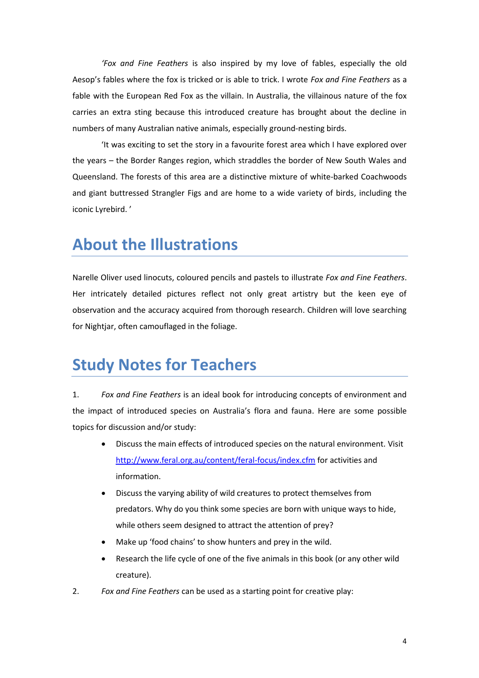*'Fox and Fine Feathers* is also inspired by my love of fables, especially the old Aesop's fables where the fox is tricked or is able to trick. I wrote *Fox and Fine Feathers* as a fable with the European Red Fox as the villain. In Australia, the villainous nature of the fox carries an extra sting because this introduced creature has brought about the decline in numbers of many Australian native animals, especially ground-nesting birds.

'It was exciting to set the story in a favourite forest area which I have explored over the years – the Border Ranges region, which straddles the border of New South Wales and Queensland. The forests of this area are a distinctive mixture of white-barked Coachwoods and giant buttressed Strangler Figs and are home to a wide variety of birds, including the iconic Lyrebird. '

## **About the Illustrations**

Narelle Oliver used linocuts, coloured pencils and pastels to illustrate *Fox and Fine Feathers*. Her intricately detailed pictures reflect not only great artistry but the keen eye of observation and the accuracy acquired from thorough research. Children will love searching for Nightjar, often camouflaged in the foliage.

## **Study Notes for Teachers**

1. *Fox and Fine Feathers* is an ideal book for introducing concepts of environment and the impact of introduced species on Australia's flora and fauna. Here are some possible topics for discussion and/or study:

- Discuss the main effects of introduced species on the natural environment. Visit <http://www.feral.org.au/content/feral-focus/index.cfm> for activities and information.
- Discuss the varying ability of wild creatures to protect themselves from predators. Why do you think some species are born with unique ways to hide, while others seem designed to attract the attention of prey?
- Make up 'food chains' to show hunters and prey in the wild.
- Research the life cycle of one of the five animals in this book (or any other wild creature).
- 2. *Fox and Fine Feathers* can be used as a starting point for creative play: